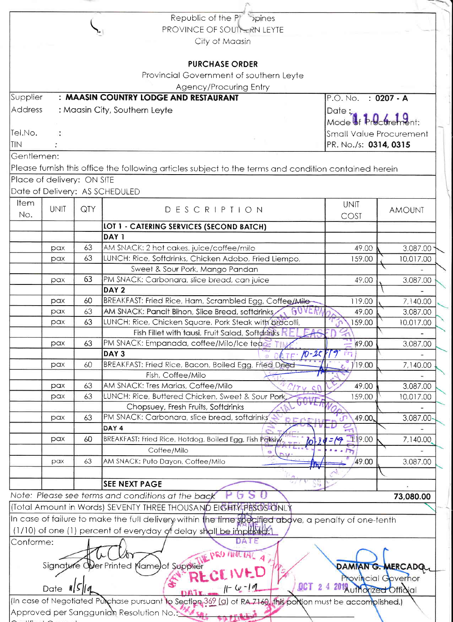| Republic of the Platin Spines                                                                               |                         |                            |
|-------------------------------------------------------------------------------------------------------------|-------------------------|----------------------------|
| PROVINCE OF SOUTHERN LEYTE                                                                                  |                         |                            |
| City of Maasin                                                                                              |                         |                            |
|                                                                                                             |                         |                            |
| <b>PURCHASE ORDER</b>                                                                                       |                         |                            |
| Provincial Government of southern Leyte                                                                     |                         |                            |
| Agency/Procuring Entry                                                                                      |                         |                            |
| Supplier<br>: MAASIN COUNTRY LODGE AND RESTAURANT                                                           | P.O. No. : 0207 - A     |                            |
| Address<br>: Maasin City, Southern Leyte                                                                    | Date:                   |                            |
|                                                                                                             | Mode of Procurement:    |                            |
| Tel.No.                                                                                                     |                         | Small Value Procurement    |
| <b>ITIN</b>                                                                                                 | PR. No./s: 0314, 0315   |                            |
| Gentlemen:                                                                                                  |                         |                            |
| Please furnish this office the following articles subject to the terms and condition contained herein       |                         |                            |
| Place of delivery: ON SITE                                                                                  |                         |                            |
| Date of Delivery: AS SCHEDULED                                                                              |                         |                            |
|                                                                                                             |                         |                            |
| Item<br><b>UNIT</b><br>QTY<br>DESCRIPTION                                                                   | <b>UNIT</b>             | <b>AMOUNT</b>              |
| No.                                                                                                         | COST                    |                            |
| <b>LOT 1 - CATERING SERVICES (SECOND BATCH)</b>                                                             |                         |                            |
| DAY <sub>1</sub>                                                                                            |                         |                            |
| 63<br>AM SNACK: 2 hot cakes, juice/coffee/milo<br>pax                                                       | 49.00                   | 3,087.00                   |
| 63<br>LUNCH: Rice, Softdrinks, Chicken Adobo, Fried Liempo,<br>pax                                          | 159.00                  | 10,017.00                  |
| Sweet & Sour Pork, Mango Pandan<br>63                                                                       |                         |                            |
| PM SNACK: Carbonara, slice bread, can juice<br>pax<br>DAY <sub>2</sub>                                      | 49.00                   | 3,087.00                   |
| 60<br>BREAKFAST: Fried Rice, Ham, Scrambled Egg, Coffee/Milo-<br>pax                                        | 119.00                  |                            |
| AM SNACK: Pancit Bihon, Slice Bread, softdrinks, GOVER<br>63<br>pax                                         | 49.00                   | 7,140.00<br>3,087.00       |
| 63<br>LUNCH: Rice, Chicken Square, Pork Steak with brocolli,<br>pax                                         | 159.00                  | 10,017.00                  |
| Fish Fillet with tausi, Fruit Salad, Softdrinks                                                             |                         |                            |
| 63<br>PM SNACK: Empanada, coffee/Milo/Ice teace<br>pax                                                      | 49.00                   | 3,087.00                   |
| DAY <sub>3</sub><br>$TE - 10 - 2C$                                                                          |                         |                            |
| BREAKFAST: Fried Rice, Bacon, Boiled Egg, Fried Dried<br>60<br>pax                                          | 19.00                   | 7,140.00                   |
| Fish, Coffee/Milo                                                                                           |                         |                            |
| AM SNACK: Tres Marias, Coffee/Milo<br>63<br>pax<br>217400                                                   | 49.00                   | 3,087.00                   |
| 63<br>LUNCH: Rice, Buttered Chicken, Sweet & Sour Pork<br>pax                                               | 159.00                  | 10,017.00                  |
| Chopsuey, Fresh Fruits, Softdrinks                                                                          |                         |                            |
| 63<br>PM SNACK: Carbonara, slice bread, softdrinks<br>pax                                                   | 49.00,                  | 3,087.00                   |
| DAY 4                                                                                                       |                         |                            |
| 60<br>BREAKFAST: Fried Rice, Hotdog, Boiled Egg, Fish Paksiy<br>pax                                         | $7/9$ 19.00             | 7,140.00                   |
| Coffee/Milo                                                                                                 |                         |                            |
| AM SNACK: Puto Dayon, Coffee/Milo<br>63<br>pax                                                              | 49.00<br>TW             | 3,087.00                   |
|                                                                                                             |                         |                            |
| <b>SEE NEXT PAGE</b>                                                                                        |                         |                            |
| Note: Please see terms and conditions at the back                                                           |                         | 73,080.00                  |
| (Total Amount in Words) SEVENTY THREE THOUSAND EIGHTY PESOSFONLY                                            |                         |                            |
| In case of failure to make the full delivery within the time specified above, a penalty of one-tenth        |                         |                            |
| (1/10) of one (1) percent of everyday of delay shall be imposed?                                            |                         |                            |
| Conforme:<br>DATE                                                                                           |                         |                            |
|                                                                                                             |                         |                            |
| <b>THE PRO MINETAT</b>                                                                                      |                         |                            |
| Signat<br>ler Printed Name)of Supplier                                                                      |                         | DAMIAN G. MERCADO          |
| UVED<br><b>OCT</b>                                                                                          |                         | <b>Provincial Governor</b> |
| Date<br>- H I S                                                                                             | 2014 uthorized Offioial |                            |
| (In case of Negotiated Purchase pursuant to Section 369 (a) of RA 7160, this portion must be accomplished.) |                         |                            |
| Approved per Sanggunian Resolution No.:                                                                     |                         |                            |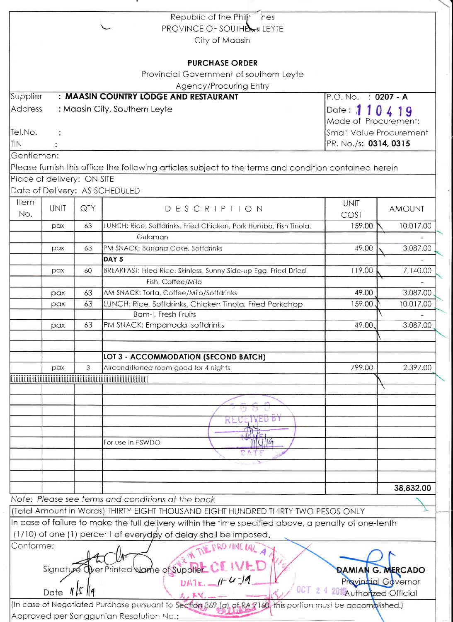|                |                            |     | Republic of the Philj <sup>*</sup><br>nes                                                                   |                         |                                                         |  |  |
|----------------|----------------------------|-----|-------------------------------------------------------------------------------------------------------------|-------------------------|---------------------------------------------------------|--|--|
|                |                            |     | <b>PROVINCE OF SOUTHERS LEYTE</b>                                                                           |                         |                                                         |  |  |
|                |                            |     | City of Maasin                                                                                              |                         |                                                         |  |  |
|                |                            |     | <b>PURCHASE ORDER</b>                                                                                       |                         |                                                         |  |  |
|                |                            |     | Provincial Government of southern Leyte                                                                     |                         |                                                         |  |  |
|                |                            |     | Agency/Procuring Entry                                                                                      |                         |                                                         |  |  |
| Supplier       |                            |     | : MAASIN COUNTRY LODGE AND RESTAURANT                                                                       | P.O. No. : 0207 - A     |                                                         |  |  |
| <b>Address</b> |                            |     | : Maasin City, Southern Leyte                                                                               | Date: 110419            |                                                         |  |  |
|                |                            |     |                                                                                                             | Mode of Procurement:    |                                                         |  |  |
| Tel.No.        |                            |     |                                                                                                             |                         |                                                         |  |  |
| <b>TIN</b>     | $\ddot{\cdot}$             |     |                                                                                                             |                         | <b>Small Value Procurement</b><br>PR. No./s: 0314, 0315 |  |  |
|                |                            |     |                                                                                                             |                         |                                                         |  |  |
| Gentlemen:     |                            |     |                                                                                                             |                         |                                                         |  |  |
|                |                            |     | Please furnish this office the following articles subject to the terms and condition contained herein       |                         |                                                         |  |  |
|                | Place of delivery: ON SITE |     |                                                                                                             |                         |                                                         |  |  |
|                |                            |     | Date of Delivery: AS SCHEDULED                                                                              |                         |                                                         |  |  |
| Item           | <b>UNIT</b>                | QTY | DESCRIPTION                                                                                                 | <b>UNIT</b>             | <b>AMOUNT</b>                                           |  |  |
| No.            |                            |     |                                                                                                             | COST                    |                                                         |  |  |
|                | pax                        | 63  | LUNCH: Rice, Softdrinks, Fried Chicken, Pork Humba, Fish Tinola,                                            | 159.00                  | 10,017.00                                               |  |  |
|                |                            |     | Gulaman                                                                                                     |                         |                                                         |  |  |
|                | pax                        | 63  | PM SNACK: Banana Cake, Softdrinks                                                                           | 49.00                   | 3,087.00                                                |  |  |
|                |                            |     | DAY <sub>5</sub>                                                                                            |                         |                                                         |  |  |
|                | pax                        | 60  | BREAKFAST: Fried Rice, Skinless, Sunny Side-up Egg, Fried Dried                                             | 119.00                  | 7,140.00                                                |  |  |
|                |                            |     | Fish, Coffee/Milo                                                                                           |                         |                                                         |  |  |
|                | pax                        | 63  | AM SNACK: Torta, Coffee/Milo/Softdrinks                                                                     | 49.00                   | 3,087.00                                                |  |  |
|                | pax                        | 63  | LUNCH: Rice, Softdrinks, Chicken Tinola, Fried Porkchop                                                     | 159.00                  | 10,017.00                                               |  |  |
|                |                            | 63  | Bam-I, Fresh Fruits<br>PM SNACK: Empanada, softdrinks                                                       | 49.00.                  | 3,087.00                                                |  |  |
|                | pax                        |     |                                                                                                             |                         |                                                         |  |  |
|                |                            |     | <b>LOT 3 - ACCOMMODATION (SECOND BATCH)</b>                                                                 |                         |                                                         |  |  |
|                | pax                        | 3   | Airconditioned room good for 4 nights                                                                       | 799.00                  | 2,397.00                                                |  |  |
|                |                            |     |                                                                                                             |                         |                                                         |  |  |
|                |                            |     |                                                                                                             |                         |                                                         |  |  |
|                |                            |     |                                                                                                             |                         |                                                         |  |  |
|                |                            |     |                                                                                                             |                         |                                                         |  |  |
|                |                            |     | EU D<br>KE                                                                                                  |                         |                                                         |  |  |
|                |                            |     |                                                                                                             |                         |                                                         |  |  |
|                |                            |     | For use in PSWDO                                                                                            |                         |                                                         |  |  |
|                |                            |     |                                                                                                             |                         |                                                         |  |  |
|                |                            |     |                                                                                                             |                         |                                                         |  |  |
|                |                            |     |                                                                                                             |                         | 38,832.00                                               |  |  |
|                |                            |     | Note: Please see terms and conditions at the back                                                           |                         |                                                         |  |  |
|                |                            |     | (Total Amount in Words) THIRTY EIGHT THOUSAND EIGHT HUNDRED THIRTY TWO PESOS ONLY                           |                         |                                                         |  |  |
|                |                            |     | In case of failure to make the full delivery within the time specified above, a penalty of one-tenth        |                         |                                                         |  |  |
|                |                            |     | (1/10) of one (1) percent of everydøy of delay shall be imposed.                                            |                         |                                                         |  |  |
| Conforme:      |                            |     | THE PRO ANCIAC                                                                                              |                         |                                                         |  |  |
|                |                            |     |                                                                                                             |                         |                                                         |  |  |
|                |                            |     | Signature Over Printed Name of Supplier                                                                     |                         | <b>DAMIAN G. MERCADO</b>                                |  |  |
|                |                            |     | DATE $  -U  =0$                                                                                             |                         | Provincial Governor                                     |  |  |
|                | Date $\ I\ $ $\ I\ $       |     | $0C$ T                                                                                                      | 201 Authorized Official |                                                         |  |  |
|                |                            |     | (In case of Negotiated Purchase pursuant to Section 369 (a) of RA 7160. this portion must be accomplished.) |                         |                                                         |  |  |
|                |                            |     | Approved per Sanggunian Resolution No.:                                                                     |                         |                                                         |  |  |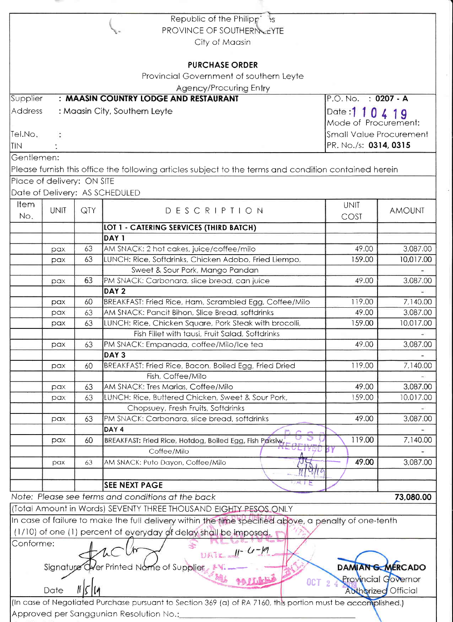|            |                            |     | Republic of the Philipp 35                                                                                  |                       |                            |
|------------|----------------------------|-----|-------------------------------------------------------------------------------------------------------------|-----------------------|----------------------------|
|            |                            |     | PROVINCE OF SOUTHERN LEYTE                                                                                  |                       |                            |
|            |                            |     | City of Maasin                                                                                              |                       |                            |
|            |                            |     |                                                                                                             |                       |                            |
|            |                            |     | <b>PURCHASE ORDER</b>                                                                                       |                       |                            |
|            |                            |     | Provincial Government of southern Leyte                                                                     |                       |                            |
|            |                            |     | <b>Agency/Procuring Entry</b>                                                                               |                       |                            |
| Supplier   |                            |     | : MAASIN COUNTRY LODGE AND RESTAURANT                                                                       | P.O. No. : 0207 - A   |                            |
| Address    |                            |     | : Maasin City, Southern Leyte                                                                               | Date: 1 1 0 4 1 9     |                            |
|            |                            |     |                                                                                                             | Mode of Procurement:  |                            |
| Tel.No.    |                            |     | <b>Small Value Procurement</b>                                                                              |                       |                            |
| <b>TIN</b> |                            |     |                                                                                                             | PR. No./s: 0314, 0315 |                            |
| Gentlemen: |                            |     |                                                                                                             |                       |                            |
|            |                            |     |                                                                                                             |                       |                            |
|            |                            |     | Please furnish this office the following articles subject to the terms and condition contained herein       |                       |                            |
|            | Place of delivery: ON SITE |     |                                                                                                             |                       |                            |
|            |                            |     | Date of Delivery: AS SCHEDULED                                                                              |                       |                            |
| Item       | <b>UNIT</b>                | QTY | DESCRIPTION                                                                                                 | <b>UNIT</b>           | <b>AMOUNT</b>              |
| No.        |                            |     |                                                                                                             | COST                  |                            |
|            |                            |     | LOT 1 - CATERING SERVICES (THIRD BATCH)                                                                     |                       |                            |
|            |                            |     | DAY <sub>1</sub>                                                                                            |                       |                            |
|            | pax                        | 63  | AM SNACK: 2 hot cakes, juice/coffee/milo                                                                    | 49.00                 | 3,087.00                   |
|            | pax                        | 63  | LUNCH: Rice, Softdrinks, Chicken Adobo, Fried Liempo,                                                       | 159.00                | 10,017.00                  |
|            |                            |     | Sweet & Sour Pork, Mango Pandan                                                                             |                       |                            |
|            | pax                        | 63  | PM SNACK: Carbonara, slice bread, can juice                                                                 | 49.00                 | 3,087.00                   |
|            |                            |     | DAY <sub>2</sub>                                                                                            |                       |                            |
|            | pax                        | 60  | BREAKFAST: Fried Rice, Ham, Scrambled Egg, Coffee/Milo                                                      | 119.00                | 7,140.00                   |
|            | pax                        | 63  | AM SNACK: Pancit Bihon, Slice Bread, softdrinks                                                             | 49.00                 | 3,087.00                   |
|            | pax                        | 63  | LUNCH: Rice, Chicken Square, Pork Steak with brocolli,                                                      | 159.00                | 10,017.00                  |
|            |                            |     | Fish Fillet with tausi, Fruit Salad, Softdrinks                                                             |                       |                            |
|            | pax                        | 63  | PM SNACK: Empanada, coffee/Milo/Ice tea                                                                     | 49.00                 | 3,087.00                   |
|            |                            |     | DAY <sub>3</sub>                                                                                            |                       |                            |
|            | pax                        | 60  | BREAKFAST: Fried Rice, Bacon, Boiled Egg, Fried Dried                                                       | 119.00                | 7,140.00                   |
|            |                            |     | Fish, Coffee/Milo                                                                                           |                       |                            |
|            | pax                        | 63  | AM SNACK: Tres Marias, Coffee/Milo                                                                          | 49.00                 | 3,087.00                   |
|            | pax                        | 63  | LUNCH: Rice, Buttered Chicken, Sweet & Sour Pork,                                                           | 159.00                | 10,017.00                  |
|            |                            |     | Chopsuey, Fresh Fruits, Softdrinks                                                                          |                       |                            |
|            | pax                        | 63  | PM SNACK: Carbonara, slice bread, softdrinks                                                                | 49.00                 | 3,087.00                   |
|            |                            |     | DAY <sub>4</sub>                                                                                            |                       |                            |
|            | pax                        | 60  | BREAKFAST: Fried Rice, Hotdog, Boiled Egg, Fish Paksiw,<br><b>SELEIVEAU</b>                                 | 119.00<br><b>BY</b>   | 7,140.00                   |
|            |                            |     | Coffee/Milo                                                                                                 |                       |                            |
|            | pax                        | 63  | ХJС.<br>AM SNACK: Puto Dayon, Coffee/Milo                                                                   | 49.00                 | 3,087.00                   |
|            |                            |     | $U\vert \Psi \vert \vert \phi$                                                                              |                       |                            |
|            |                            |     | DA PE<br><b>SEE NEXT PAGE</b>                                                                               |                       |                            |
|            |                            |     | Note: Please see terms and conditions at the back                                                           |                       | 73,080.00                  |
|            |                            |     | (Total Amount in Words) SEVENTY THREE THOUSAND EIGHTY PESOS ONLY                                            |                       |                            |
|            |                            |     | In case of failure to make the full delivery within the time specified above, a penalty of one-tenth        |                       |                            |
|            |                            |     | (1/10) of one (1) percent of everyday of delay shall be imposed.                                            |                       |                            |
| Conforme:  |                            |     |                                                                                                             |                       |                            |
|            |                            |     | $10472.1 - 4 - 6$                                                                                           |                       |                            |
|            |                            |     |                                                                                                             |                       | DAMIANG MERCADO            |
|            | Signature                  |     | Wer Printed Name of Supplier                                                                                |                       |                            |
|            |                            |     | <b>OCT 2</b>                                                                                                |                       | <b>Provincial Governor</b> |
|            | Date                       |     |                                                                                                             |                       | <b>Authorized Official</b> |
|            |                            |     | (In case of Negotiated Purchase pursuant to Section 369 (a) of RA 7160, this portion must be accomplished.) |                       |                            |
|            |                            |     | Approved per Sanggunian Resolution No.:                                                                     |                       |                            |

 $\hat{\tau}$  :